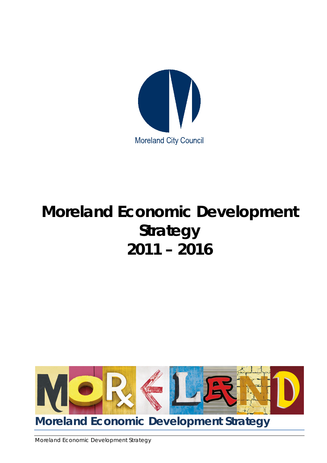

# **Moreland Economic Development Strategy 2011 – 2016**



**Moreland Economic Development Strategy** 

Moreland Economic Development Strategy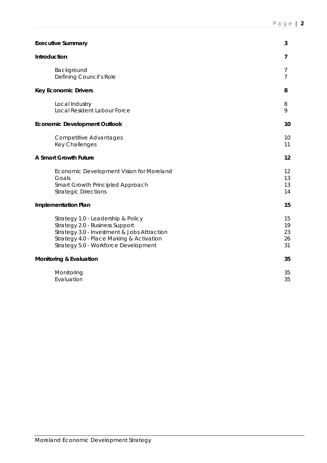| <b>Executive Summary</b>                                                                                                                                                                                 | 3                          |
|----------------------------------------------------------------------------------------------------------------------------------------------------------------------------------------------------------|----------------------------|
| Introduction                                                                                                                                                                                             | 7                          |
| Background<br>Defining Council's Role                                                                                                                                                                    | 7<br>$\overline{7}$        |
| <b>Key Economic Drivers</b>                                                                                                                                                                              | 8                          |
| Local Industry<br>Local Resident Labour Force                                                                                                                                                            | 8<br>9                     |
| <b>Economic Development Outlook</b>                                                                                                                                                                      | 10                         |
| <b>Competitive Advantages</b><br>Key Challenges                                                                                                                                                          | 10<br>11                   |
| <b>A Smart Growth Future</b>                                                                                                                                                                             | 12                         |
| Economic Development Vision for Moreland<br>Goals<br>Smart Growth Principled Approach<br><b>Strategic Directions</b>                                                                                     | 12<br>13<br>13<br>14       |
| <b>Implementation Plan</b>                                                                                                                                                                               | 15                         |
| Strategy 1.0 - Leadership & Policy<br>Strategy 2.0 - Business Support<br>Strategy 3.0 - Investment & Jobs Attraction<br>Strategy 4.0 - Place Making & Activation<br>Strategy 5.0 - Workforce Development | 15<br>19<br>23<br>26<br>31 |
| <b>Monitoring &amp; Evaluation</b>                                                                                                                                                                       | 35                         |
| Monitoring<br>Evaluation                                                                                                                                                                                 | 35<br>35                   |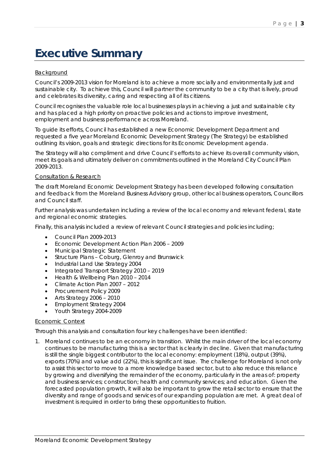# **Executive Summary**

# **Background**

Council's 2009-2013 vision for Moreland is to achieve a more socially and environmentally just and sustainable city. To achieve this, Council will partner the community to be a city that is lively, proud and celebrates its diversity, caring and respecting all of its citizens.

Council recognises the valuable role local businesses plays in achieving a just and sustainable city and has placed a high priority on proactive policies and actions to improve investment, employment and business performance across Moreland.

To guide its efforts, Council has established a new Economic Development Department and requested a five year Moreland Economic Development Strategy (The Strategy) be established outlining its vision, goals and strategic directions for its Economic Development agenda.

The Strategy will also compliment and drive Council's efforts to achieve its overall community vision, meet its goals and ultimately deliver on commitments outlined in the Moreland City Council Plan 2009-2013.

### Consultation & Research

The draft Moreland Economic Development Strategy has been developed following consultation and feedback from the Moreland Business Advisory group, other local business operators, Councillors and Council staff.

Further analysis was undertaken including a review of the local economy and relevant federal, state and regional economic strategies.

Finally, this analysis included a review of relevant Council strategies and policies including;

- Council Plan 2009-2013
- Economic Development Action Plan 2006 2009
- Municipal Strategic Statement
- Structure Plans Coburg, Glenroy and Brunswick
- Industrial Land Use Strategy 2004
- Integrated Transport Strategy 2010 2019
- Health & Wellbeing Plan 2010 2014
- Climate Action Plan 2007 2012
- Procurement Policy 2009
- Arts Strategy 2006 2010
- Employment Strategy 2004
- Youth Strategy 2004-2009

#### Economic Context

Through this analysis and consultation four key challenges have been identified:

1. Moreland continues to be an economy in transition. Whilst the main driver of the local economy continues to be manufacturing this is a sector that is clearly in decline. Given that manufacturing is still the single biggest contributor to the local economy: employment (18%), output (39%), exports (70%) and value add (22%), this is significant issue. The challenge for Moreland is not only to assist this sector to move to a more knowledge based sector, but to also reduce this reliance by growing and diversifying the remainder of the economy, particularly in the areas of: property and business services; construction; health and community services; and education. Given the forecasted population growth, it will also be important to grow the retail sector to ensure that the diversity and range of goods and services of our expanding population are met. A great deal of investment is required in order to bring these opportunities to fruition.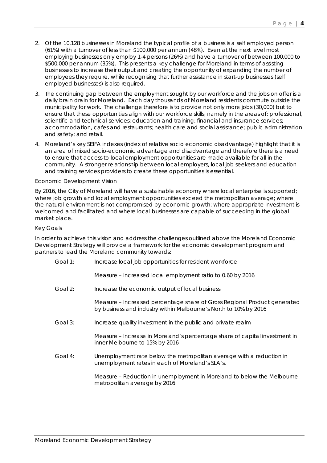- 2. Of the 10,128 businesses in Moreland the typical profile of a business is a self employed person (61%) with a turnover of less than \$100,000 per annum (48%). Even at the next level most employing businesses only employ 1-4 persons (26%) and have a turnover of between 100,000 to \$500,000 per annum (35%). This presents a key challenge for Moreland in terms of assisting businesses to increase their output and creating the opportunity of expanding the number of employees they require, while recognising that further assistance in start-up businesses (self employed businesses) is also required.
- 3. The continuing gap between the employment sought by our workforce and the jobs on offer is a daily brain drain for Moreland. Each day thousands of Moreland residents commute outside the municipality for work. The challenge therefore is to provide not only more jobs (30,000) but to ensure that these opportunities align with our workforce skills, namely in the areas of: professional, scientific and technical services; education and training; financial and insurance services; accommodation, cafes and restaurants; health care and social assistance; public administration and safety; and retail.
- 4. Moreland's key SEIFA indexes (index of relative socio economic disadvantage) highlight that it is an area of mixed socio-economic advantage and disadvantage and therefore there is a need to ensure that access to local employment opportunities are made available for all in the community. A stronger relationship between local employers, local job seekers and education and training services providers to create these opportunities is essential.

#### Economic Development Vision

By 2016, the City of Moreland will have a sustainable economy where local enterprise is supported; where job growth and local employment opportunities exceed the metropolitan average; where the natural environment is not compromised by economic growth; where appropriate investment is welcomed and facilitated and where local businesses are capable of succeeding in the global market place.

#### Key Goals

In order to achieve this vision and address the challenges outlined above the Moreland Economic Development Strategy will provide a framework for the economic development program and partners to lead the Moreland community towards:

Goal 1: Increase local job opportunities for resident workforce

*Measure – Increased local employment ratio to 0.60 by 2016*

Goal 2: Increase the economic output of local business

*Measure – Increased percentage share of Gross Regional Product generated by business and industry within Melbourne's North to 10% by 2016*

Goal 3: Increase quality investment in the public and private realm

*Measure – Increase in Moreland's percentage share of capital investment in inner Melbourne to 15% by 2016*

Goal 4: Unemployment rate below the metropolitan average with a reduction in unemployment rates in each of Moreland's SLA's.

> *Measure – Reduction in unemployment in Moreland to below the Melbourne metropolitan average by 2016*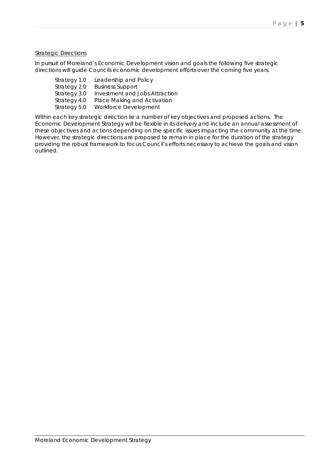# **Strategic Directions**

In pursuit of Moreland's Economic Development vision and goals the following five strategic directions will guide Councils economic development efforts over the coming five years.

| Strategy 1.0 | Leadership and Policy          |
|--------------|--------------------------------|
| Strategy 2.0 | <b>Business Support</b>        |
| Strategy 3.0 | Investment and Jobs Attraction |
| Strategy 4.0 | Place Making and Activation    |
| Strategy 5.0 | Workforce Development          |

Within each key strategic direction lie a number of key objectives and proposed actions. The Economic Development Strategy will be flexible in its delivery and include an annual assessment of these objectives and actions depending on the specific issues impacting the community at the time. However, the strategic directions are proposed to remain in place for the duration of the strategy providing the robust framework to focus Council's efforts necessary to achieve the goals and vision outlined.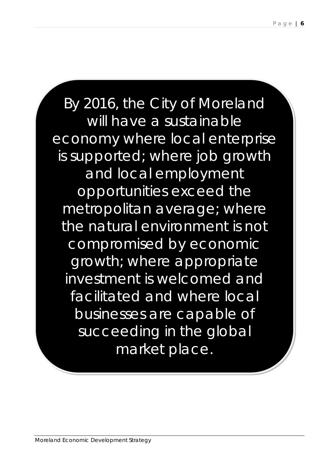By 2016, the City of Moreland will have a sustainable economy where local enterprise is supported; where job growth and local employment opportunities exceed the metropolitan average; where the natural environment is not compromised by economic growth; where appropriate investment is welcomed and facilitated and where local businesses are capable of succeeding in the global market place.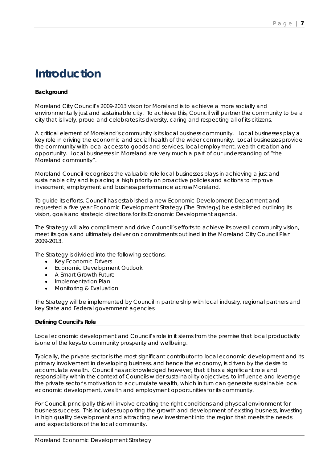# **Introduction**

# **Background**

Moreland City Council's 2009-2013 vision for Moreland is to achieve a more socially and environmentally just and sustainable city. To achieve this, Council will partner the community to be a city that is lively, proud and celebrates its diversity, caring and respecting all of its citizens.

A critical element of Moreland's community is its local business community. Local businesses play a key role in driving the economic and social health of the wider community. Local businesses provide the community with local access to goods and services, local employment, wealth creation and opportunity. Local businesses in Moreland are very much a part of our understanding of "the Moreland community".

Moreland Council recognises the valuable role local businesses plays in achieving a just and sustainable city and is placing a high priority on proactive policies and actions to improve investment, employment and business performance across Moreland.

To guide its efforts, Council has established a new Economic Development Department and requested a five year Economic Development Strategy (The Strategy) be established outlining its vision, goals and strategic directions for its Economic Development agenda.

The Strategy will also compliment and drive Council's efforts to achieve its overall community vision, meet its goals and ultimately deliver on commitments outlined in the Moreland City Council Plan 2009-2013.

The Strategy is divided into the following sections:

- Key Economic Drivers
- Economic Development Outlook
- A Smart Growth Future
- Implementation Plan
- Monitoring & Evaluation

The Strategy will be implemented by Council in partnership with local industry, regional partners and key State and Federal government agencies.

#### **Defining Council's Role**

Local economic development and Council's role in it stems from the premise that local productivity is one of the keys to community prosperity and wellbeing.

Typically, the private sector is the most significant contributor to local economic development and its primary involvement in developing business, and hence the economy, is driven by the desire to accumulate wealth. Council has acknowledged however, that it has a significant role and responsibility within the context of Councils wider sustainability objectives, to influence and leverage the private sector's motivation to accumulate wealth, which in turn can generate sustainable local economic development, wealth and employment opportunities for its community.

For Council, principally this will involve creating the right conditions and physical environment for business success. This includes supporting the growth and development of existing business, investing in high quality development and attracting new investment into the region that meets the needs and expectations of the local community.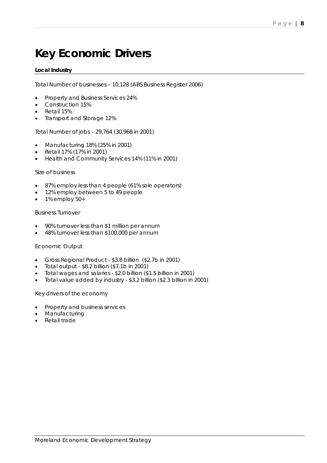# **Key Economic Drivers**

# **Local Industry**

Total Number of businesses – 10,128 (ABS Business Register 2006)

- Property and Business Services 24%
- Construction 15%
- Retail 15%
- Transport and Storage 12%

Total Number of jobs – 29,764 (30,968 in 2001)

- Manufacturing 18% (25% in 2001)
- Retail 17% (17% in 2001)
- Health and Community Services 14% (11% in 2001)

#### Size of business

- 87% employ less than 4 people (61% sole operators)
- 12% employ between 5 to 49 people
- $\bullet$  1% employ 50+

#### Business Turnover

- 90% turnover less than \$1 million per annum
- 48% turnover less than \$100,000 per annum

#### Economic Output

- Gross Regional Product \$3.8 billion (\$2.7b in 2001)
- Total output \$8.2 billion (\$7.1b in 2001)
- Total wages and salaries \$2.0 billion (\$1.5 billion in 2001)
- Total value added by industry \$3.2 billion (\$2.3 billion in 2001)

Key drivers of the economy

- Property and business services
- **Manufacturing**
- Retail trade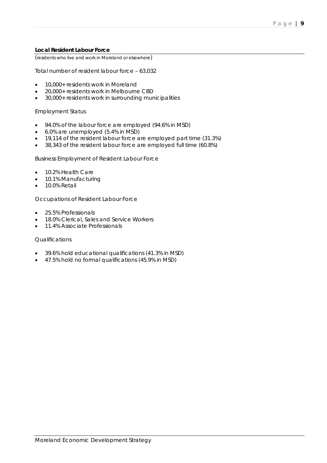### **Local Resident Labour Force**

(residents who live and work in Moreland or elsewhere)

Total number of resident labour force – 63,032

- 10,000+ residents work in Moreland
- 20,000+ residents work in Melbourne CBD
- 30,000+ residents work in surrounding municipalities

#### Employment Status

- 94.0% of the labour force are employed (94.6% in MSD)
- 6.0% are unemployed (5.4% in MSD)
- 19,114 of the resident labour force are employed part time (31.3%)
- 38,343 of the resident labour force are employed full time (60.8%)

Business Employment of Resident Labour Force

- 10.2% Health Care
- 10.1% Manufacturing
- 10.0% Retail

Occupations of Resident Labour Force

- 25.5% Professionals
- 18.0% Clerical, Sales and Service Workers
- 11.4% Associate Professionals

### **Qualifications**

- 39.6% hold educational qualifications (41.3% in MSD)
- 47.5% hold no formal qualifications (45.9% in MSD)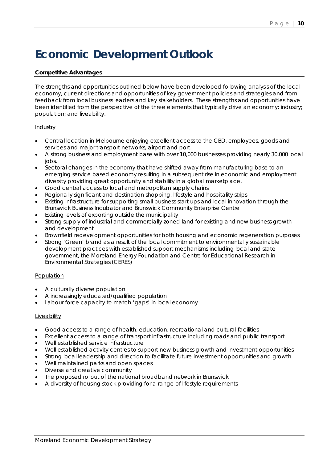# **Economic Development Outlook**

# **Competitive Advantages**

The strengths and opportunities outlined below have been developed following analysis of the local economy, current directions and opportunities of key government policies and strategies and from feedback from local business leaders and key stakeholders. These strengths and opportunities have been identified from the perspective of the three elements that typically drive an economy: industry; population; and liveability.

### **Industry**

- Central location in Melbourne enjoying excellent access to the CBD, employees, goods and services and major transport networks, airport and port.
- A strong business and employment base with over 10,000 businesses providing nearly 30,000 local jobs.
- Sectoral changes in the economy that have shifted away from manufacturing base to an emerging service based economy resulting in a subsequent rise in economic and employment diversity providing great opportunity and stability in a global marketplace.
- Good central access to local and metropolitan supply chains
- Regionally significant and destination shopping, lifestyle and hospitality strips
- Existing infrastructure for supporting small business start ups and local innovation through the Brunswick Business Incubator and Brunswick Community Enterprise Centre
- Existing levels of exporting outside the municipality
- Strong supply of industrial and commercially zoned land for existing and new business growth and development
- Brownfield redevelopment opportunities for both housing and economic regeneration purposes
- Strong 'Green' brand as a result of the local commitment to environmentally sustainable development practices with established support mechanisms including local and state government, the Moreland Energy Foundation and Centre for Educational Research in Environmental Strategies (CERES)

#### Population

- A culturally diverse population
- A increasingly educated/qualified population
- Labour force capacity to match 'gaps' in local economy

#### Liveability

- Good access to a range of health, education, recreational and cultural facilities
- Excellent access to a range of transport infrastructure including roads and public transport
- Well established service infrastructure
- Well established activity centres to support new business growth and investment opportunities
- Strong local leadership and direction to facilitate future investment opportunities and growth
- Well maintained parks and open spaces
- Diverse and creative community
- The proposed rollout of the national broadband network in Brunswick
- A diversity of housing stock providing for a range of lifestyle requirements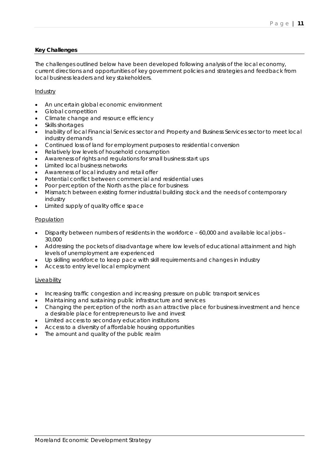# **Key Challenges**

The challenges outlined below have been developed following analysis of the local economy, current directions and opportunities of key government policies and strategies and feedback from local business leaders and key stakeholders.

# Industry

- An uncertain global economic environment
- Global competition
- Climate change and resource efficiency
- Skills shortages
- Inability of local Financial Services sector and Property and Business Services sector to meet local industry demands
- Continued loss of land for employment purposes to residential conversion
- Relatively low levels of household consumption
- Awareness of rights and regulations for small business start ups
- Limited local business networks
- Awareness of local industry and retail offer
- Potential conflict between commercial and residential uses
- Poor perception of the North as the place for business
- Mismatch between existing former industrial building stock and the needs of contemporary industry
- Limited supply of quality office space

#### **Population**

- Disparity between numbers of residents in the workforce 60,000 and available local jobs 30,000
- Addressing the pockets of disadvantage where low levels of educational attainment and high levels of unemployment are experienced
- Up skilling workforce to keep pace with skill requirements and changes in industry
- Access to entry level local employment

#### Liveability

- Increasing traffic congestion and increasing pressure on public transport services
- Maintaining and sustaining public infrastructure and services
- Changing the perception of the north as an attractive place for business investment and hence a desirable place for entrepreneurs to live and invest
- Limited access to secondary education institutions
- Access to a diversity of affordable housing opportunities
- The amount and quality of the public realm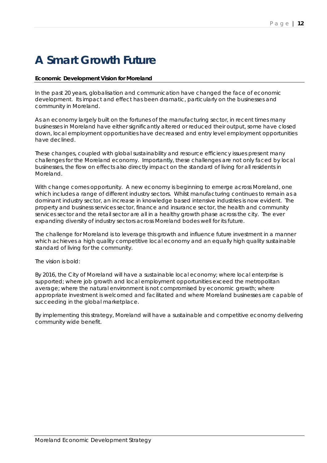# **A Smart Growth Future**

# **Economic Development Vision for Moreland**

In the past 20 years, globalisation and communication have changed the face of economic development. Its impact and effect has been dramatic, particularly on the businesses and community in Moreland.

As an economy largely built on the fortunes of the manufacturing sector, in recent times many businesses in Moreland have either significantly altered or reduced their output, some have closed down, local employment opportunities have decreased and entry level employment opportunities have declined.

These changes, coupled with global sustainability and resource efficiency issues present many challenges for the Moreland economy. Importantly, these challenges are not only faced by local businesses, the flow on effects also directly impact on the standard of living for all residents in Moreland.

With change comes opportunity. A new economy is beginning to emerge across Moreland, one which includes a range of different industry sectors. Whilst manufacturing continues to remain as a dominant industry sector, an increase in knowledge based intensive industries is now evident. The property and business services sector, finance and insurance sector, the health and community services sector and the retail sector are all in a healthy growth phase across the city. The ever expanding diversity of industry sectors across Moreland bodes well for its future.

The challenge for Moreland is to leverage this growth and influence future investment in a manner which achieves a high quality competitive local economy and an equally high quality sustainable standard of living for the community.

The vision is bold:

By 2016, the City of Moreland will have a sustainable local economy; where local enterprise is supported; where job growth and local employment opportunities exceed the metropolitan average; where the natural environment is not compromised by economic growth; where appropriate investment is welcomed and facilitated and where Moreland businesses are capable of succeeding in the global marketplace.

By implementing this strategy, Moreland will have a sustainable and competitive economy delivering community wide benefit.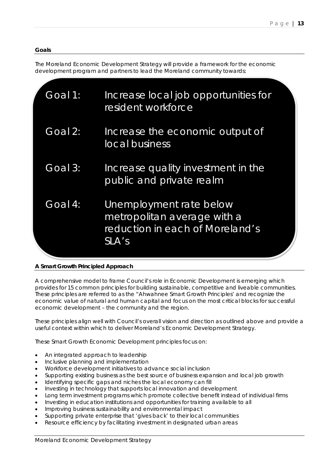# **Goals**

The Moreland Economic Development Strategy will provide a framework for the economic development program and partners to lead the Moreland community towards:

| Goal 1: | Increase local job opportunities for<br>resident workforce                                         |  |
|---------|----------------------------------------------------------------------------------------------------|--|
| Goal 2: | Increase the economic output of<br>local business                                                  |  |
| Goal 3: | Increase quality investment in the<br>public and private realm                                     |  |
| Goal 4: | Unemployment rate below<br>metropolitan average with a<br>reduction in each of Moreland's<br>SLA's |  |

# **A Smart Growth Principled Approach**

A comprehensive model to frame Council's role in Economic Development is emerging which provides for 15 common principles for building sustainable, competitive and liveable communities. These principles are referred to as the "*Ahwahnee Smart Growth Principles'* and recognize the economic value of natural and human capital and focus on the most critical blocks for successful economic development – the community and the region.

These principles align well with Council's overall vision and direction as outlined above and provide a useful context within which to deliver Moreland's Economic Development Strategy.

These Smart Growth Economic Development principles focus on:

- An integrated approach to leadership
- Inclusive planning and implementation
- Workforce development initiatives to advance social inclusion
- Supporting existing business as the best source of business expansion and local job growth
- Identifying specific gaps and niches the local economy can fill
- Investing in technology that supports local innovation and development
- Long term investment programs which promote collective benefit instead of individual firms
- Investing in education institutions and opportunities for training available to all
- Improving business sustainability and environmental impact
- Supporting private enterprise that 'gives back' to their local communities
- Resource efficiency by facilitating investment in designated urban areas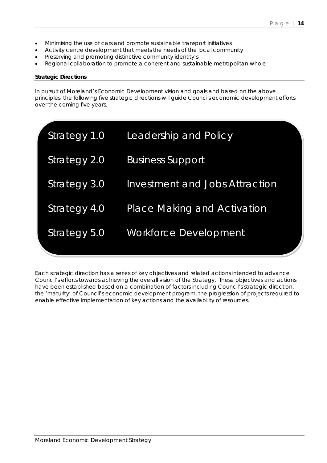- Minimising the use of cars and promote sustainable transport initiatives
- Activity centre development that meets the needs of the local community
- Preserving and promoting distinctive community identity's
- Regional collaboration to promote a coherent and sustainable metropolitan whole

#### **Strategic Directions**

In pursuit of Moreland's Economic Development vision and goals and based on the above principles, the following five strategic directions will guide Councils economic development efforts over the coming five years.

| Strategy 1.0 | Leadership and Policy                 |
|--------------|---------------------------------------|
| Strategy 2.0 | <b>Business Support</b>               |
| Strategy 3.0 | <b>Investment and Jobs Attraction</b> |
| Strategy 4.0 | <b>Place Making and Activation</b>    |
| Strategy 5.0 | Workforce Development                 |

Each strategic direction has a series of key objectives and related actions intended to advance Council's efforts towards achieving the overall vision of the Strategy. These objectives and actions have been established based on a combination of factors including Council's strategic direction, the 'maturity' of Council's economic development program, the progression of projects required to enable effective implementation of key actions and the availability of resources.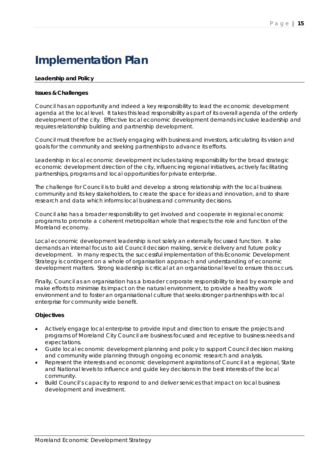# **Implementation Plan**

# **Leadership and Policy**

#### **Issues & Challenges**

Council has an opportunity and indeed a key responsibility to lead the economic development agenda at the local level. It takes this lead responsibility as part of its overall agenda of the orderly development of the city. Effective local economic development demands inclusive leadership and requires relationship building and partnership development.

Council must therefore be actively engaging with business and investors, articulating its vision and goals for the community and seeking partnerships to advance its efforts.

Leadership in local economic development includes taking responsibility for the broad strategic economic development direction of the city, influencing regional initiatives, actively facilitating partnerships, programs and local opportunities for private enterprise.

The challenge for Council is to build and develop a strong relationship with the local business community and its key stakeholders, to create the space for ideas and innovation, and to share research and data which informs local business and community decisions.

Council also has a broader responsibility to get involved and cooperate in regional economic programs to promote a coherent metropolitan whole that respects the role and function of the Moreland economy.

Local economic development leadership is not solely an externally focussed function. It also demands an internal focus to aid Council decision making, service delivery and future policy development. In many respects, the successful implementation of this Economic Development Strategy is contingent on a whole of organisation approach and understanding of economic development matters. Strong leadership is critical at an organisational level to ensure this occurs.

Finally, Council as an organisation has a broader corporate responsibility to lead by example and make efforts to minimise its impact on the natural environment, to provide a healthy work environment and to foster an organisational culture that seeks stronger partnerships with local enterprise for community wide benefit.

- Actively engage local enterprise to provide input and direction to ensure the projects and programs of Moreland City Council are business focused and receptive to business needs and expectations.
- Guide local economic development planning and policy to support Council decision making and community wide planning through ongoing economic research and analysis.
- Represent the interests and economic development aspirations of Council at a regional, State and National levels to influence and guide key decisions in the best interests of the local community.
- Build Council's capacity to respond to and deliver services that impact on local business development and investment.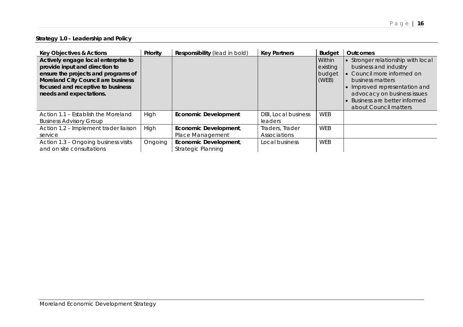# **Strategy 1.0 – Leadership and Policy**

| <b>Key Objectives &amp; Actions</b>                                                                                                                                                                                | Priority | Responsibility (lead in bold)               | <b>Key Partners</b>                   | <b>Budget</b>                         | <b>Outcomes</b>                                                                                                                                                                                                                  |
|--------------------------------------------------------------------------------------------------------------------------------------------------------------------------------------------------------------------|----------|---------------------------------------------|---------------------------------------|---------------------------------------|----------------------------------------------------------------------------------------------------------------------------------------------------------------------------------------------------------------------------------|
| Actively engage local enterprise to<br>provide input and direction to<br>ensure the projects and programs of<br>Moreland City Council are business<br>focused and receptive to business<br>needs and expectations. |          |                                             |                                       | Within<br>existing<br>budget<br>(WEB) | Stronger relationship with local<br>business and industry<br>Council more informed on<br>business matters<br>Improved representation and<br>advocacy on business issues<br>Business are better informed<br>about Council matters |
| Action 1.1 - Establish the Moreland<br><b>Business Advisory Group</b>                                                                                                                                              | High     | <b>Economic Development</b>                 | <b>DBI, Local business</b><br>leaders | <b>WEB</b>                            |                                                                                                                                                                                                                                  |
| Action 1.2 - Implement trader liaison<br>service                                                                                                                                                                   | High     | Economic Development,<br>Place Management   | Traders, Trader<br>Associations       | <b>WEB</b>                            |                                                                                                                                                                                                                                  |
| Action 1.3 - Ongoing business visits<br>and on site consultations                                                                                                                                                  | Ongoing  | Economic Development,<br>Strategic Planning | Local business                        | <b>WEB</b>                            |                                                                                                                                                                                                                                  |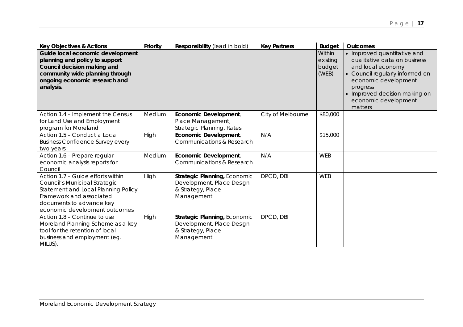| <b>Key Objectives &amp; Actions</b>                                                                                                                                                                | Priority | Responsibility (lead in bold)                                                                | <b>Key Partners</b> | <b>Budget</b>                         | <b>Outcomes</b>                                                                                                                                                                                                             |
|----------------------------------------------------------------------------------------------------------------------------------------------------------------------------------------------------|----------|----------------------------------------------------------------------------------------------|---------------------|---------------------------------------|-----------------------------------------------------------------------------------------------------------------------------------------------------------------------------------------------------------------------------|
| Guide local economic development<br>planning and policy to support<br>Council decision making and<br>community wide planning through<br>ongoing economic research and<br>analysis.                 |          |                                                                                              |                     | Within<br>existing<br>budget<br>(WEB) | • Improved quantitative and<br>qualitative data on business<br>and local economy<br>• Council regularly informed on<br>economic development<br>progress<br>• Improved decision making on<br>economic development<br>matters |
| Action 1.4 - Implement the Census<br>for Land Use and Employment<br>program for Moreland                                                                                                           | Medium   | Economic Development,<br>Place Management,<br>Strategic Planning, Rates                      | City of Melbourne   | \$80,000                              |                                                                                                                                                                                                                             |
| Action 1.5 - Conduct a Local<br><b>Business Confidence Survey every</b><br>two years                                                                                                               | High     | Economic Development,<br>Communications & Research                                           | N/A                 | \$15,000                              |                                                                                                                                                                                                                             |
| Action 1.6 - Prepare regular<br>economic analysis reports for<br>Council                                                                                                                           | Medium   | Economic Development,<br>Communications & Research                                           | N/A                 | <b>WEB</b>                            |                                                                                                                                                                                                                             |
| Action 1.7 - Guide efforts within<br>Council's Municipal Strategic<br>Statement and Local Planning Policy<br>Framework and associated<br>documents to advance key<br>economic development outcomes | High     | Strategic Planning, Economic<br>Development, Place Design<br>& Strategy, Place<br>Management | DPCD, DBI           | <b>WEB</b>                            |                                                                                                                                                                                                                             |
| Action 1.8 - Continue to use<br>Moreland Planning Scheme as a key<br>tool for the retention of local<br>business and employment (eg.<br>MILUS).                                                    | High     | Strategic Planning, Economic<br>Development, Place Design<br>& Strategy, Place<br>Management | DPCD, DBI           |                                       |                                                                                                                                                                                                                             |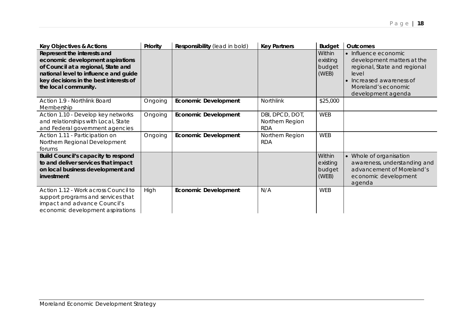| <b>Key Objectives &amp; Actions</b>                                                                                                                                                                               | Priority | Responsibility (lead in bold) | <b>Key Partners</b>                              | <b>Budget</b>                         | <b>Outcomes</b>                                                                                                                                                    |
|-------------------------------------------------------------------------------------------------------------------------------------------------------------------------------------------------------------------|----------|-------------------------------|--------------------------------------------------|---------------------------------------|--------------------------------------------------------------------------------------------------------------------------------------------------------------------|
| Represent the interests and<br>economic development aspirations<br>of Council at a regional, State and<br>national level to influence and guide<br>key decisions in the best interests of<br>the local community. |          |                               |                                                  | Within<br>existing<br>budget<br>(WEB) | • Influence economic<br>development matters at the<br>regional, State and regional<br>level<br>Increased awareness of<br>Moreland's economic<br>development agenda |
| Action 1.9 - Northlink Board<br>Membership                                                                                                                                                                        | Ongoing  | <b>Economic Development</b>   | Northlink                                        | \$25,000                              |                                                                                                                                                                    |
| Action 1.10 - Develop key networks<br>and relationships with Local, State<br>and Federal government agencies                                                                                                      | Ongoing  | <b>Economic Development</b>   | DBI, DPCD, DOT,<br>Northern Region<br><b>RDA</b> | <b>WEB</b>                            |                                                                                                                                                                    |
| Action 1.11 - Participation on<br>Northern Regional Development<br>forums                                                                                                                                         | Ongoing  | <b>Economic Development</b>   | Northern Region<br><b>RDA</b>                    | <b>WEB</b>                            |                                                                                                                                                                    |
| <b>Build Council's capacity to respond</b><br>to and deliver services that impact<br>on local business development and<br>investment                                                                              |          |                               |                                                  | Within<br>existing<br>budget<br>(WEB) | Whole of organisation<br>awareness, understanding and<br>advancement of Moreland's<br>economic development<br>agenda                                               |
| Action 1.12 - Work across Council to<br>support programs and services that<br>impact and advance Council's<br>economic development aspirations                                                                    | High     | <b>Economic Development</b>   | N/A                                              | <b>WEB</b>                            |                                                                                                                                                                    |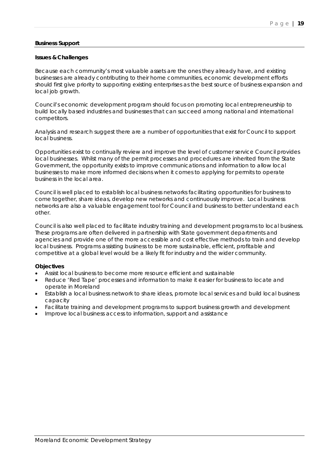### **Business Support**

#### **Issues & Challenges**

Because each community's most valuable assets are the ones they already have, and existing businesses are already contributing to their home communities, economic development efforts should first give priority to supporting existing enterprises as the best source of business expansion and local job growth.

Council's economic development program should focus on promoting local entrepreneurship to build locally based industries and businesses that can succeed among national and international competitors.

Analysis and research suggest there are a number of opportunities that exist for Council to support local business.

Opportunities exist to continually review and improve the level of customer service Council provides local businesses. Whilst many of the permit processes and procedures are inherited from the State Government, the opportunity exists to improve communications and information to allow local businesses to make more informed decisions when it comes to applying for permits to operate business in the local area.

Council is well placed to establish local business networks facilitating opportunities for business to come together, share ideas, develop new networks and continuously improve. Local business networks are also a valuable engagement tool for Council and business to better understand each other.

Council is also well placed to facilitate industry training and development programs to local business. These programs are often delivered in partnership with State government departments and agencies and provide one of the more accessible and cost effective methods to train and develop local business. Programs assisting business to be more sustainable, efficient, profitable and competitive at a global level would be a likely fit for industry and the wider community.

- Assist local business to become more resource efficient and sustainable
- Reduce 'Red Tape' processes and information to make it easier for business to locate and operate in Moreland
- Establish a local business network to share ideas, promote local services and build local business capacity
- Facilitate training and development programs to support business growth and development
- Improve local business access to information, support and assistance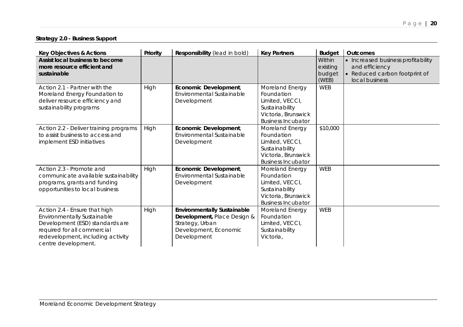# Page | **20**

# **Strategy 2.0 - Business Support**

| <b>Key Objectives &amp; Actions</b>                                                                                                                                                        | Priority | Responsibility (lead in bold)                                                                                                | <b>Key Partners</b>                                                                                                    | <b>Budget</b>                         | <b>Outcomes</b>                                                                                         |
|--------------------------------------------------------------------------------------------------------------------------------------------------------------------------------------------|----------|------------------------------------------------------------------------------------------------------------------------------|------------------------------------------------------------------------------------------------------------------------|---------------------------------------|---------------------------------------------------------------------------------------------------------|
| Assist local business to become<br>more resource efficient and<br>sustainable                                                                                                              |          |                                                                                                                              |                                                                                                                        | Within<br>existing<br>budget<br>(WEB) | • Increased business profitability<br>and efficiency<br>• Reduced carbon footprint of<br>local business |
| Action 2.1 - Partner with the<br>Moreland Energy Foundation to<br>deliver resource efficiency and<br>sustainability programs                                                               | High     | Economic Development,<br>Environmental Sustainable<br>Development                                                            | Moreland Energy<br>Foundation<br>Limited, VECCI,<br>Sustainability<br>Victoria, Brunswick<br><b>Business Incubator</b> | <b>WEB</b>                            |                                                                                                         |
| Action 2.2 - Deliver training programs<br>to assist business to access and<br>implement ESD initiatives                                                                                    | High     | Economic Development,<br>Environmental Sustainable<br>Development                                                            | Moreland Energy<br>Foundation<br>Limited, VECCI,<br>Sustainability<br>Victoria, Brunswick<br><b>Business Incubator</b> | \$10,000                              |                                                                                                         |
| Action 2.3 - Promote and<br>communicate available sustainability<br>programs, grants and funding<br>opportunities to local business                                                        | High     | Economic Development,<br>Environmental Sustainable<br>Development                                                            | Moreland Energy<br>Foundation<br>Limited, VECCI,<br>Sustainability<br>Victoria, Brunswick<br><b>Business Incubator</b> | <b>WEB</b>                            |                                                                                                         |
| Action 2.4 - Ensure that high<br>Environmentally Sustainable<br>Development (ESD) standards are<br>required for all commercial<br>redevelopment, including activity<br>centre development. | High     | <b>Environmentally Sustainable</b><br>Development, Place Design &<br>Strategy, Urban<br>Development, Economic<br>Development | Moreland Energy<br>Foundation<br>Limited, VECCI,<br>Sustainability<br>Victoria,                                        | <b>WEB</b>                            |                                                                                                         |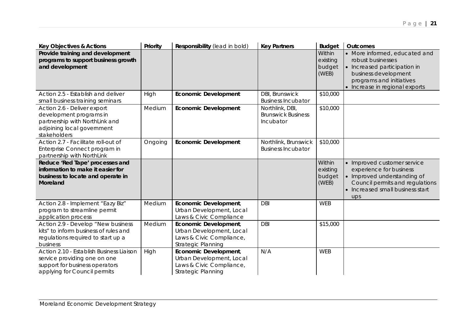| <b>Key Objectives &amp; Actions</b>                                                                                                        | Priority | Responsibility (lead in bold)                                                                       | <b>Key Partners</b>                                       | <b>Budget</b>                         | <b>Outcomes</b>                                                                                                                                                          |
|--------------------------------------------------------------------------------------------------------------------------------------------|----------|-----------------------------------------------------------------------------------------------------|-----------------------------------------------------------|---------------------------------------|--------------------------------------------------------------------------------------------------------------------------------------------------------------------------|
| Provide training and development<br>programs to support business growth<br>and development                                                 |          |                                                                                                     |                                                           | Within<br>existing<br>budget<br>(WEB) | • More informed, educated and<br>robust businesses<br>• Increased participation in<br>business development<br>programs and initiatives<br>• Increase in regional exports |
| Action 2.5 - Establish and deliver<br>small business training seminars                                                                     | High     | <b>Economic Development</b>                                                                         | DBI, Brunswick<br><b>Business Incubator</b>               | \$10,000                              |                                                                                                                                                                          |
| Action 2.6 - Deliver export<br>development programs in<br>partnership with NorthLink and<br>adjoining local government<br>stakeholders     | Medium   | <b>Economic Development</b>                                                                         | Northlink, DBI,<br><b>Brunswick Business</b><br>Incubator | \$10,000                              |                                                                                                                                                                          |
| Action 2.7 - Facilitate roll-out of<br>Enterprise Connect program in<br>partnership with NorthLink                                         | Ongoing  | <b>Economic Development</b>                                                                         | Northlink, Brunswick<br><b>Business Incubator</b>         | \$10,000                              |                                                                                                                                                                          |
| Reduce 'Red Tape' processes and<br>information to make it easier for<br>business to locate and operate in<br>Moreland                      |          |                                                                                                     |                                                           | Within<br>existing<br>budget<br>(WEB) | • Improved customer service<br>experience for business<br>• Improved understanding of<br>Council permits and regulations<br>• Increased small business start<br>ups      |
| Action 2.8 - Implement "Eazy Biz"<br>program to streamline permit<br>application process                                                   | Medium   | Economic Development,<br>Urban Development, Local<br>Laws & Civic Compliance                        | <b>DBI</b>                                                | <b>WEB</b>                            |                                                                                                                                                                          |
| Action 2.9 - Develop "New business<br>kits" to inform business of rules and<br>regulations required to start up a<br>business              | Medium   | Economic Development,<br>Urban Development, Local<br>Laws & Civic Compliance,<br>Strategic Planning | <b>DBI</b>                                                | \$15,000                              |                                                                                                                                                                          |
| Action 2.10 - Establish Business Liaison<br>service providing one on one<br>support for business operators<br>applying for Council permits | High     | Economic Development,<br>Urban Development, Local<br>Laws & Civic Compliance,<br>Strategic Planning | N/A                                                       | <b>WEB</b>                            |                                                                                                                                                                          |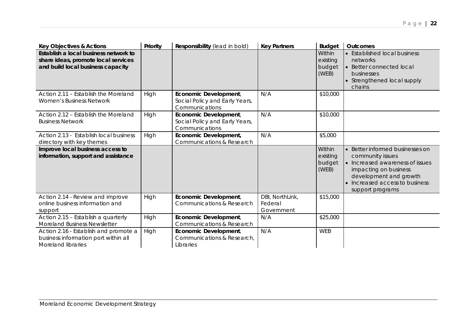| <b>Key Objectives &amp; Actions</b>                                                                               | Priority | Responsibility (lead in bold)                                             | <b>Key Partners</b>                      | <b>Budget</b>                         | Outcomes                                                                                                                                                                                        |
|-------------------------------------------------------------------------------------------------------------------|----------|---------------------------------------------------------------------------|------------------------------------------|---------------------------------------|-------------------------------------------------------------------------------------------------------------------------------------------------------------------------------------------------|
| Establish a local business network to<br>share ideas, promote local services<br>and build local business capacity |          |                                                                           |                                          | Within<br>existing<br>budget<br>(WEB) | • Established local business<br>networks<br>• Better connected local<br>businesses<br>• Strengthened local supply<br>chains                                                                     |
| Action 2.11 - Establish the Moreland<br>Women's Business Network                                                  | High     | Economic Development,<br>Social Policy and Early Years,<br>Communications | N/A                                      | \$10,000                              |                                                                                                                                                                                                 |
| Action 2.12 – Establish the Moreland<br><b>Business Network</b>                                                   | High     | Economic Development,<br>Social Policy and Early Years,<br>Communications | N/A                                      | \$10,000                              |                                                                                                                                                                                                 |
| Action 2.13 - Establish local business<br>directory with key themes                                               | High     | Economic Development,<br>Communications & Research                        | N/A                                      | \$5,000                               |                                                                                                                                                                                                 |
| Improve local business access to<br>information, support and assistance                                           |          |                                                                           |                                          | Within<br>existing<br>budget<br>(WEB) | • Better informed businesses on<br>community issues<br>• Increased awareness of issues<br>impacting on business<br>development and growth<br>• Increased access to business<br>support programs |
| Action 2.14 - Review and improve<br>online business information and<br>support                                    | High     | Economic Development,<br>Communications & Research                        | DBI, NorthLink,<br>Federal<br>Government | \$15,000                              |                                                                                                                                                                                                 |
| Action 2.15 - Establish a quarterly<br>Moreland Business Newsletter                                               | High     | Economic Development,<br>Communications & Research                        | N/A                                      | \$25,000                              |                                                                                                                                                                                                 |
| Action 2.16 - Establish and promote a<br>business information port within all<br><b>Moreland libraries</b>        | High     | Economic Development,<br>Communications & Research,<br>Libraries          | N/A                                      | <b>WEB</b>                            |                                                                                                                                                                                                 |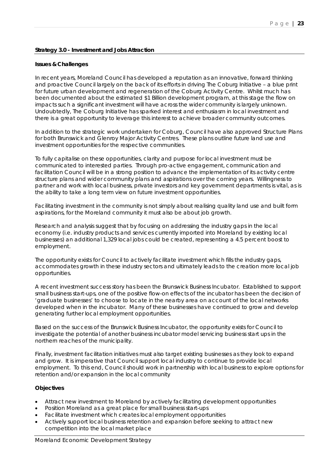# **Strategy 3.0 - Investment and Jobs Attraction**

# **Issues & Challenges**

In recent years, Moreland Council has developed a reputation as an innovative, forward thinking and proactive Council largely on the back of its efforts in driving The Coburg Initiative – a blue print for future urban development and regeneration of the Coburg Activity Centre. Whilst much has been documented about the estimated \$1 Billion development program, at this stage the flow on impacts such a significant investment will have across the wider community is largely unknown. Undoubtedly, The Coburg Initiative has sparked interest and enthusiasm in local investment and there is a great opportunity to leverage this interest to achieve broader community outcomes.

In addition to the strategic work undertaken for Coburg, Council have also approved Structure Plans for both Brunswick and Glenroy Major Activity Centres. These plans outline future land use and investment opportunities for the respective communities.

To fully capitalise on these opportunities, clarity and purpose for local investment must be communicated to interested parties. Through pro-active engagement, communication and facilitation Council will be in a strong position to advance the implementation of its activity centre structure plans and wider community plans and aspirations over the coming years. Willingness to partner and work with local business, private investors and key government departments is vital, as is the ability to take a long term view on future investment opportunities.

Facilitating investment in the community is not simply about realising quality land use and built form aspirations, for the Moreland community it must also be about job growth.

Research and analysis suggest that by focusing on addressing the industry gaps in the local economy (i.e. industry products and services currently imported into Moreland by existing local businesses) an additional 1,329 local jobs could be created, representing a 4.5 percent boost to employment.

The opportunity exists for Council to actively facilitate investment which fills the industry gaps, accommodates growth in these industry sectors and ultimately leads to the creation more local job opportunities.

A recent investment success story has been the Brunswick Business Incubator. Established to support small business start-ups, one of the positive flow-on effects of the incubator has been the decision of 'graduate businesses' to choose to locate in the nearby area on account of the local networks developed when in the incubator. Many of these businesses have continued to grow and develop generating further local employment opportunities.

Based on the success of the Brunswick Business Incubator, the opportunity exists for Council to investigate the potential of another business incubator model servicing business start ups in the northern reaches of the municipality.

Finally, investment facilitation initiatives must also target existing businesses as they look to expand and grow. It is imperative that Council support local industry to continue to provide local employment. To this end, Council should work in partnership with local business to explore options for retention and/or expansion in the local community

- Attract new investment to Moreland by actively facilitating development opportunities
- Position Moreland as a great place for small business start-ups
- Facilitate investment which creates local employment opportunities
- Actively support local business retention and expansion before seeking to attract new competition into the local market place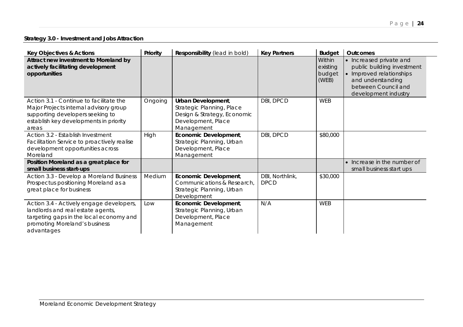# **Strategy 3.0 - Investment and Jobs Attraction**

| <b>Key Objectives &amp; Actions</b>                                                                                                                                      | Priority | Responsibility (lead in bold)                                                                                      | <b>Key Partners</b>            | <b>Budget</b>                         | <b>Outcomes</b>                                                                                                                                       |
|--------------------------------------------------------------------------------------------------------------------------------------------------------------------------|----------|--------------------------------------------------------------------------------------------------------------------|--------------------------------|---------------------------------------|-------------------------------------------------------------------------------------------------------------------------------------------------------|
| Attract new investment to Moreland by<br>actively facilitating development<br>opportunities                                                                              |          |                                                                                                                    |                                | Within<br>existing<br>budget<br>(WEB) | • Increased private and<br>public building investment<br>• Improved relationships<br>and understanding<br>between Council and<br>development industry |
| Action 3.1 - Continue to facilitate the<br>Major Projects internal advisory group<br>supporting developers seeking to<br>establish key developments in priority<br>areas | Ongoing  | Urban Development,<br>Strategic Planning, Place<br>Design & Strategy, Economic<br>Development, Place<br>Management | DBI, DPCD                      | WEB                                   |                                                                                                                                                       |
| Action 3.2 - Establish Investment<br>Facilitation Service to proactively realise<br>development opportunities across<br>Moreland                                         | High     | Economic Development,<br>Strategic Planning, Urban<br>Development, Place<br>Management                             | DBI, DPCD                      | \$80,000                              |                                                                                                                                                       |
| Position Moreland as a great place for<br>small business start-ups                                                                                                       |          |                                                                                                                    |                                |                                       | Increase in the number of<br>small business start ups                                                                                                 |
| Action 3.3 - Develop a Moreland Business<br>Prospectus positioning Moreland as a<br>great place for business                                                             | Medium   | Economic Development,<br>Communications & Research,<br>Strategic Planning, Urban<br>Development                    | DBI, Northlink,<br><b>DPCD</b> | \$30,000                              |                                                                                                                                                       |
| Action 3.4 - Actively engage developers,<br>landlords and real estate agents,<br>targeting gaps in the local economy and<br>promoting Moreland's business<br>advantages  | Low      | Economic Development,<br>Strategic Planning, Urban<br>Development, Place<br>Management                             | N/A                            | WEB                                   |                                                                                                                                                       |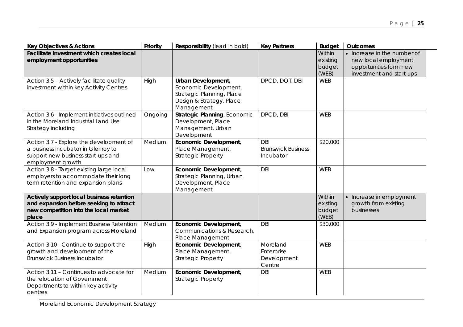| <b>Key Objectives &amp; Actions</b>                                                                                                      | Priority | Responsibility (lead in bold)                                                                                      | <b>Key Partners</b>                                  | <b>Budget</b>                         | <b>Outcomes</b>                                                                                           |
|------------------------------------------------------------------------------------------------------------------------------------------|----------|--------------------------------------------------------------------------------------------------------------------|------------------------------------------------------|---------------------------------------|-----------------------------------------------------------------------------------------------------------|
| Facilitate investment which creates local<br>employment opportunities                                                                    |          |                                                                                                                    |                                                      | Within<br>existing<br>budget<br>(WEB) | • Increase in the number of<br>new local employment<br>opportunities form new<br>investment and start ups |
| Action 3.5 - Actively facilitate quality<br>investment within key Activity Centres                                                       | High     | Urban Development,<br>Economic Development,<br>Strategic Planning, Place<br>Design & Strategy, Place<br>Management | DPCD, DOT, DBI                                       | <b>WEB</b>                            |                                                                                                           |
| Action 3.6 - Implement initiatives outlined<br>in the Moreland Industrial Land Use<br>Strategy including                                 | Ongoing  | Strategic Planning, Economic<br>Development, Place<br>Management, Urban<br>Development                             | DPCD, DBI                                            | WEB                                   |                                                                                                           |
| Action 3.7 - Explore the development of<br>a business incubator in Glenroy to<br>support new business start-ups and<br>employment growth | Medium   | Economic Development,<br>Place Management,<br><b>Strategic Property</b>                                            | <b>DBI</b><br><b>Brunswick Business</b><br>Incubator | \$20,000                              |                                                                                                           |
| Action 3.8 - Target existing large local<br>employers to accommodate their long<br>term retention and expansion plans                    | Low      | Economic Development,<br>Strategic Planning, Urban<br>Development, Place<br>Management                             | <b>DBI</b>                                           | <b>WEB</b>                            |                                                                                                           |
| Actively support local business retention<br>and expansion before seeking to attract<br>new competition into the local market<br>place   |          |                                                                                                                    |                                                      | Within<br>existing<br>budget<br>(WEB) | • Increase in employment<br>growth from existing<br>businesses                                            |
| Action 3.9 - Implement Business Retention<br>and Expansion program across Moreland                                                       | Medium   | Economic Development,<br>Communications & Research,<br>Place Management                                            | <b>DBI</b>                                           | \$30,000                              |                                                                                                           |
| Action 3.10 - Continue to support the<br>growth and development of the<br><b>Brunswick Business Incubator</b>                            | High     | Economic Development,<br>Place Management,<br><b>Strategic Property</b>                                            | Moreland<br>Enterprise<br>Development<br>Centre      | <b>WEB</b>                            |                                                                                                           |
| Action 3.11 - Continues to advocate for<br>the relocation of Government<br>Departments to within key activity<br>centres                 | Medium   | Economic Development,<br><b>Strategic Property</b>                                                                 | <b>DBI</b>                                           | <b>WEB</b>                            |                                                                                                           |

Moreland Economic Development Strategy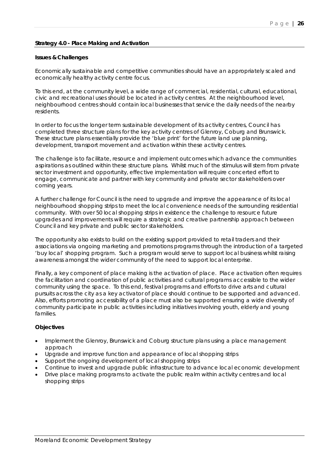# **Strategy 4.0 - Place Making and Activation**

#### **Issues & Challenges**

Economically sustainable and competitive communities should have an appropriately scaled and economically healthy activity centre focus.

To this end, at the community level, a wide range of commercial, residential, cultural, educational, civic and recreational uses should be located in activity centres. At the neighbourhood level, neighbourhood centres should contain local businesses that service the daily needs of the nearby residents.

In order to focus the longer term sustainable development of its activity centres, Council has completed three structure plans for the key activity centres of Glenroy, Coburg and Brunswick. These structure plans essentially provide the 'blue print' for the future land use planning, development, transport movement and activation within these activity centres.

The challenge is to facilitate, resource and implement outcomes which advance the communities aspirations as outlined within these structure plans. Whilst much of the stimulus will stem from private sector investment and opportunity, effective implementation will require concerted effort to engage, communicate and partner with key community and private sector stakeholders over coming years.

A further challenge for Council is the need to upgrade and improve the appearance of its local neighbourhood shopping strips to meet the local convenience needs of the surrounding residential community. With over 50 local shopping strips in existence the challenge to resource future upgrades and improvements will require a strategic and creative partnership approach between Council and key private and public sector stakeholders.

The opportunity also exists to build on the existing support provided to retail traders and their associations via ongoing marketing and promotions programs through the introduction of a targeted 'buy local' shopping program. Such a program would serve to support local business whilst raising awareness amongst the wider community of the need to support local enterprise.

Finally, a key component of place making is the activation of place. Place activation often requires the facilitation and coordination of public activities and cultural programs accessible to the wider community using the space. To this end, festival programs and efforts to drive arts and cultural pursuits across the city as a key activator of place should continue to be supported and advanced. Also, efforts promoting accessibility of a place must also be supported ensuring a wide diversity of community participate in public activities including initiatives involving youth, elderly and young families.

- Implement the Glenroy, Brunswick and Coburg structure plans using a place management approach
- Upgrade and improve function and appearance of local shopping strips
- Support the ongoing development of local shopping strips
- Continue to invest and upgrade public infrastructure to advance local economic development
- Drive place making programs to activate the public realm within activity centres and local shopping strips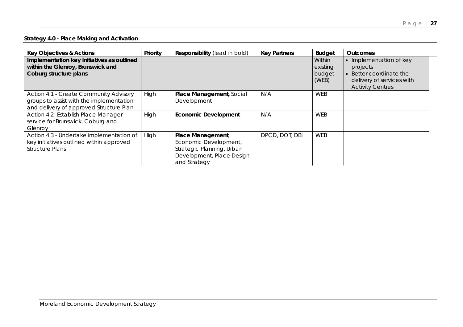# **Strategy 4.0 - Place Making and Activation**

| <b>Key Objectives &amp; Actions</b>                                                                                                  | Priority | <b>Responsibility</b> (lead in bold)                                                                                 | <b>Key Partners</b> | <b>Budget</b>                         | <b>Outcomes</b>                                                                                                        |
|--------------------------------------------------------------------------------------------------------------------------------------|----------|----------------------------------------------------------------------------------------------------------------------|---------------------|---------------------------------------|------------------------------------------------------------------------------------------------------------------------|
| Implementation key initiatives as outlined<br>within the Glenroy, Brunswick and<br>Coburg structure plans                            |          |                                                                                                                      |                     | Within<br>existing<br>budget<br>(WEB) | • Implementation of key<br>projects<br>• Better coordinate the<br>delivery of services with<br><b>Activity Centres</b> |
| <b>Action 4.1 - Create Community Advisory</b><br>groups to assist with the implementation<br>and delivery of approved Structure Plan | High     | Place Management, Social<br>Development                                                                              | N/A                 | WEB                                   |                                                                                                                        |
| Action 4.2- Establish Place Manager<br>service for Brunswick, Coburg and<br>Glenrov                                                  | High     | <b>Economic Development</b>                                                                                          | N/A                 | WEB                                   |                                                                                                                        |
| Action 4.3 - Undertake implementation of<br>key initiatives outlined within approved<br><b>Structure Plans</b>                       | High     | Place Management,<br>Economic Development,<br>Strategic Planning, Urban<br>Development, Place Design<br>and Strategy | DPCD, DOT, DBI      | WEB                                   |                                                                                                                        |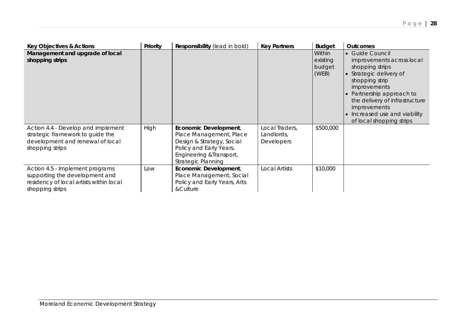| <b>Key Objectives &amp; Actions</b>                                                                                             | Priority | Responsibility (lead in bold)                                                                                                                                     | <b>Key Partners</b>                               | <b>Budget</b>                         | <b>Outcomes</b>                                                                                                                                                                                                                                                          |
|---------------------------------------------------------------------------------------------------------------------------------|----------|-------------------------------------------------------------------------------------------------------------------------------------------------------------------|---------------------------------------------------|---------------------------------------|--------------------------------------------------------------------------------------------------------------------------------------------------------------------------------------------------------------------------------------------------------------------------|
| Management and upgrade of local<br>shopping strips                                                                              |          |                                                                                                                                                                   |                                                   | Within<br>existing<br>budget<br>(WEB) | • Guide Council<br>improvements across local<br>shopping strips<br>• Strategic delivery of<br>shopping strip<br>improvements<br>• Partnership approach to<br>the delivery of infrastructure<br>improvements<br>• Increased use and viability<br>of local shopping strips |
| Action 4.4 - Develop and implement<br>strategic framework to guide the<br>development and renewal of local<br>shopping strips   | High     | Economic Development,<br>Place Management, Place<br>Design & Strategy, Social<br>Policy and Early Years,<br>Engineering & Transport,<br><b>Strategic Planning</b> | Local Traders,<br>Landlords,<br><b>Developers</b> | \$500,000                             |                                                                                                                                                                                                                                                                          |
| Action 4.5 - Implement programs<br>supporting the development and<br>residency of local artists within local<br>shopping strips | Low      | Economic Development,<br>Place Management, Social<br>Policy and Early Years, Arts<br>&Culture                                                                     | Local Artists                                     | \$10,000                              |                                                                                                                                                                                                                                                                          |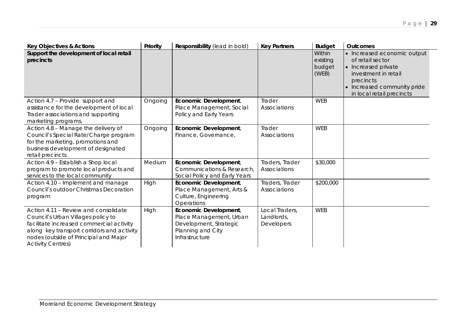| <b>Key Objectives &amp; Actions</b>                                                                                                                                                                                                       | Priority | Responsibility (lead in bold)                                                                                     | <b>Key Partners</b>                        | <b>Budget</b>                         | <b>Outcomes</b>                                                                                                                                                         |
|-------------------------------------------------------------------------------------------------------------------------------------------------------------------------------------------------------------------------------------------|----------|-------------------------------------------------------------------------------------------------------------------|--------------------------------------------|---------------------------------------|-------------------------------------------------------------------------------------------------------------------------------------------------------------------------|
| Support the development of local retail<br>precincts                                                                                                                                                                                      |          |                                                                                                                   |                                            | Within<br>existing<br>budget<br>(WEB) | • Increased economic output<br>of retail sector<br>• Increased private<br>investment in retail<br>precincts<br>• Increased community pride<br>in local retail precincts |
| Action 4.7 - Provide support and<br>assistance for the development of local<br>Trader associations and supporting<br>marketing programs.                                                                                                  | Ongoing  | Economic Development,<br>Place Management, Social<br>Policy and Early Years                                       | Trader<br>Associations                     | <b>WEB</b>                            |                                                                                                                                                                         |
| Action 4.8 - Manage the delivery of<br>Council's Special Rate/Charge program<br>for the marketing, promotions and<br>business development of designated<br>retail precincts                                                               | Ongoing  | Economic Development,<br>Finance, Governance,                                                                     | Trader<br>Associations                     | <b>WEB</b>                            |                                                                                                                                                                         |
| Action 4.9 - Establish a Shop local<br>program to promote local products and<br>services to the local community                                                                                                                           | Medium   | Economic Development,<br>Communications & Research,<br>Social Policy and Early Years                              | Traders, Trader<br>Associations            | \$30,000                              |                                                                                                                                                                         |
| Action 4.10 - Implement and manage<br>Council's outdoor Christmas Decoration<br>program                                                                                                                                                   | High     | Economic Development,<br>Place Management, Arts &<br>Culture, Engineering<br>Operations                           | Traders, Trader<br>Associations            | \$200,000                             |                                                                                                                                                                         |
| Action 4.11 - Review and consolidate<br>Council's Urban Villages policy to<br>facilitate increased commercial activity<br>along key transport corridors and activity<br>nodes (outside of Principal and Major<br><b>Activity Centres)</b> | High     | Economic Development,<br>Place Management, Urban<br>Development, Strategic<br>Planning and City<br>Infrastructure | Local Traders,<br>Landlords,<br>Developers | <b>WEB</b>                            |                                                                                                                                                                         |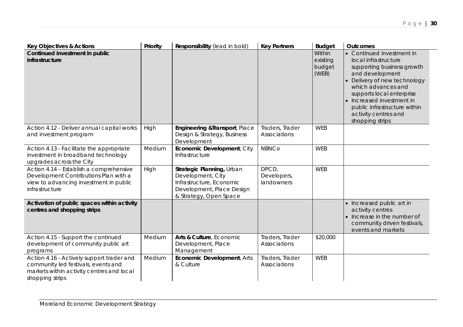| <b>Key Objectives &amp; Actions</b>                                                                                                              | Priority | Responsibility (lead in bold)                                                                                                     | <b>Key Partners</b>                | <b>Budget</b>                         | <b>Outcomes</b>                                                                                                                                                                                                                                                                               |
|--------------------------------------------------------------------------------------------------------------------------------------------------|----------|-----------------------------------------------------------------------------------------------------------------------------------|------------------------------------|---------------------------------------|-----------------------------------------------------------------------------------------------------------------------------------------------------------------------------------------------------------------------------------------------------------------------------------------------|
| Continued investment in public<br>infrastructure                                                                                                 |          |                                                                                                                                   |                                    | Within<br>existing<br>budget<br>(WEB) | • Continued investment in<br>local infrastructure<br>supporting business growth<br>and development<br>• Delivery of new technology<br>which advances and<br>supports local enterprise<br>• Increased investment in<br>public infrastructure within<br>activity centres and<br>shopping strips |
| Action 4.12 - Deliver annual capital works<br>and investment program                                                                             | High     | Engineering & Transport, Place<br>Design & Strategy, Business<br>Development                                                      | Traders, Trader<br>Associations    | <b>WEB</b>                            |                                                                                                                                                                                                                                                                                               |
| Action 4.13 - Facilitate the appropriate<br>investment in broadband technology<br>upgrades across the City                                       | Medium   | Economic Development, City<br>Infrastructure                                                                                      | <b>NBNCo</b>                       | <b>WEB</b>                            |                                                                                                                                                                                                                                                                                               |
| Action 4.14 - Establish a comprehensive<br>Development Contributions Plan with a<br>view to advancing investment in public<br>infrastructure     | High     | Strategic Planning, Urban<br>Development, City<br>Infrastructure, Economic<br>Development, Place Design<br>& Strategy, Open Space | DPCD,<br>Developers,<br>landowners | <b>WEB</b>                            |                                                                                                                                                                                                                                                                                               |
| Activation of public spaces within activity<br>centres and shopping strips                                                                       |          |                                                                                                                                   |                                    |                                       | • Increased public art in<br>activity centres<br>• Increase in the number of<br>community driven festivals,<br>events and markets                                                                                                                                                             |
| Action 4.15 - Support the continued<br>development of community public art<br>programs                                                           | Medium   | Arts & Culture, Economic<br>Development, Place<br>Management                                                                      | Traders, Trader<br>Associations    | \$20,000                              |                                                                                                                                                                                                                                                                                               |
| Action 4.16 - Actively support trader and<br>community led festivals, events and<br>markets within activity centres and local<br>shopping strips | Medium   | <b>Economic Development, Arts</b><br>& Culture                                                                                    | Traders, Trader<br>Associations    | <b>WEB</b>                            |                                                                                                                                                                                                                                                                                               |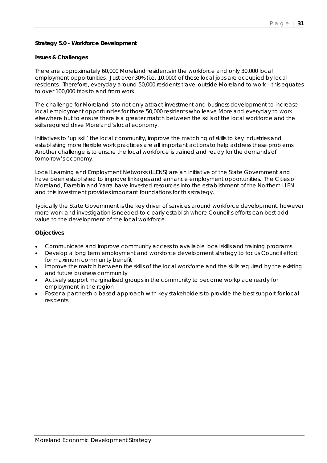# **Strategy 5.0 - Workforce Development**

#### **Issues & Challenges**

There are approximately 60,000 Moreland residents in the workforce and only 30,000 local employment opportunities. Just over 30% (i.e. 10,000) of these local jobs are occupied by local residents. Therefore, everyday around 50,000 residents travel outside Moreland to work – this equates to over 100,000 trips to and from work.

The challenge for Moreland is to not only attract investment and business development to increase local employment opportunities for those 50,000 residents who leave Moreland everyday to work elsewhere but to ensure there is a greater match between the skills of the local workforce and the skills required drive Moreland's local economy.

Initiatives to 'up skill' the local community, improve the matching of skills to key industries and establishing more flexible work practices are all important actions to help address these problems. Another challenge is to ensure the local workforce is trained and ready for the demands of tomorrow's economy.

Local Learning and Employment Networks (LLENS) are an initiative of the State Government and have been established to improve linkages and enhance employment opportunities. The Cities of Moreland, Darebin and Yarra have invested resources into the establishment of the Northern LLEN and this investment provides important foundations for this strategy.

Typically the State Government is the key driver of services around workforce development, however more work and investigation is needed to clearly establish where Council's efforts can best add value to the development of the local workforce.

- Communicate and improve community access to available local skills and training programs
- Develop a long term employment and workforce development strategy to focus Council effort for maximum community benefit
- Improve the match between the skills of the local workforce and the skills required by the existing and future business community
- Actively support marginalised groups in the community to become workplace ready for employment in the region
- Foster a partnership based approach with key stakeholders to provide the best support for local residents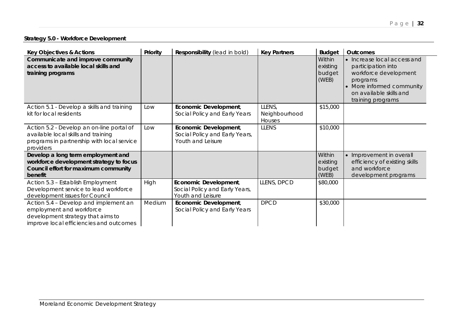**Strategy 5.0 - Workforce Development**

| <b>Key Objectives &amp; Actions</b>                                                                                                               | Priority | Responsibility (lead in bold)                                                | <b>Key Partners</b>               | <b>Budget</b>                         | <b>Outcomes</b>                                                                                                                                                     |
|---------------------------------------------------------------------------------------------------------------------------------------------------|----------|------------------------------------------------------------------------------|-----------------------------------|---------------------------------------|---------------------------------------------------------------------------------------------------------------------------------------------------------------------|
| Communicate and improve community<br>access to available local skills and<br>training programs                                                    |          |                                                                              |                                   | Within<br>existing<br>budget<br>(WEB) | • Increase local access and<br>participation into<br>workforce development<br>programs<br>• More informed community<br>on available skills and<br>training programs |
| Action 5.1 - Develop a skills and training<br>kit for local residents                                                                             | Low      | Economic Development,<br>Social Policy and Early Years                       | LLENS,<br>Neighbourhood<br>Houses | \$15,000                              |                                                                                                                                                                     |
| Action 5.2 - Develop an on-line portal of<br>available local skills and training<br>programs in partnership with local service<br>providers       | Low      | Economic Development,<br>Social Policy and Early Years,<br>Youth and Leisure | <b>LLENS</b>                      | \$10,000                              |                                                                                                                                                                     |
| Develop a long term employment and<br>workforce development strategy to focus<br>Council effort for maximum community<br>benefit                  |          |                                                                              |                                   | Within<br>existing<br>budget<br>(WEB) | • Improvement in overall<br>efficiency of existing skills<br>and workforce<br>development programs                                                                  |
| Action 5.3 - Establish Employment<br>Development service to lead workforce<br>development issues for Council                                      | High     | Economic Development,<br>Social Policy and Early Years,<br>Youth and Leisure | LLENS, DPCD                       | \$80,000                              |                                                                                                                                                                     |
| Action 5.4 - Develop and implement an<br>employment and workforce<br>development strategy that aims to<br>improve local efficiencies and outcomes | Medium   | Economic Development,<br>Social Policy and Early Years                       | <b>DPCD</b>                       | \$30,000                              |                                                                                                                                                                     |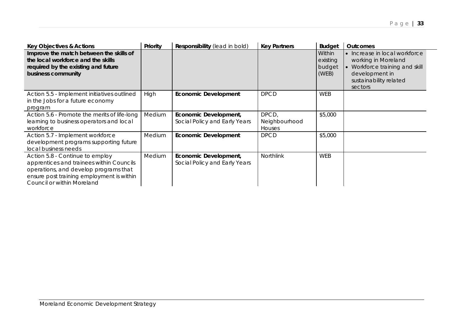| <b>Key Objectives &amp; Actions</b>                                                                                                                                                             | Priority | Responsibility (lead in bold)                          | <b>Key Partners</b>                     | <b>Budget</b>                         | <b>Outcomes</b>                                                                                                                               |
|-------------------------------------------------------------------------------------------------------------------------------------------------------------------------------------------------|----------|--------------------------------------------------------|-----------------------------------------|---------------------------------------|-----------------------------------------------------------------------------------------------------------------------------------------------|
| Improve the match between the skills of<br>the local workforce and the skills<br>required by the existing and future<br>business community                                                      |          |                                                        |                                         | Within<br>existing<br>budget<br>(WEB) | • Increase in local workforce<br>working in Moreland<br>• Workforce training and skill<br>development in<br>sustainability related<br>sectors |
| Action 5.5 - Implement initiatives outlined<br>in the Jobs for a future economy<br>program                                                                                                      | High     | <b>Economic Development</b>                            | <b>DPCD</b>                             | <b>WEB</b>                            |                                                                                                                                               |
| Action 5.6 - Promote the merits of life-long<br>learning to business operators and local<br>workforce                                                                                           | Medium   | Economic Development,<br>Social Policy and Early Years | DPCD,<br>Neighbourhood<br><b>Houses</b> | \$5,000                               |                                                                                                                                               |
| Action 5.7 - Implement workforce<br>development programs supporting future<br>local business needs                                                                                              | Medium   | <b>Economic Development</b>                            | <b>DPCD</b>                             | \$5,000                               |                                                                                                                                               |
| Action 5.8 - Continue to employ<br>apprentices and trainees within Councils<br>operations, and develop programs that<br>ensure post training employment is within<br>Council or within Moreland | Medium   | Economic Development,<br>Social Policy and Early Years | <b>Northlink</b>                        | <b>WEB</b>                            |                                                                                                                                               |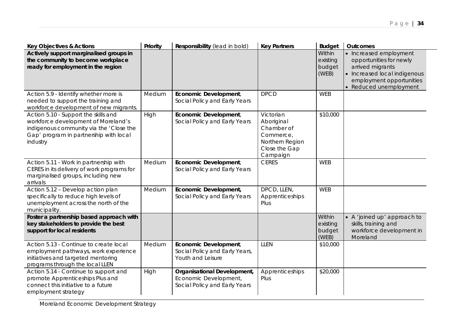| <b>Key Objectives &amp; Actions</b>                                                                                                                                          | Priority | Responsibility (lead in bold)                                                         | <b>Key Partners</b>                                                                                | <b>Budget</b>                         | <b>Outcomes</b>                                                                                                                                             |
|------------------------------------------------------------------------------------------------------------------------------------------------------------------------------|----------|---------------------------------------------------------------------------------------|----------------------------------------------------------------------------------------------------|---------------------------------------|-------------------------------------------------------------------------------------------------------------------------------------------------------------|
| Actively support marginalised groups in<br>the community to become workplace<br>ready for employment in the region                                                           |          |                                                                                       |                                                                                                    | Within<br>existing<br>budget<br>(WEB) | • Increased employment<br>opportunities for newly<br>arrived migrants<br>• Increased local indigenous<br>employment opportunities<br>• Reduced unemployment |
| Action 5.9 - Identify whether more is<br>needed to support the training and<br>workforce development of new migrants.                                                        | Medium   | Economic Development,<br>Social Policy and Early Years                                | <b>DPCD</b>                                                                                        | <b>WEB</b>                            |                                                                                                                                                             |
| Action 5.10 - Support the skills and<br>workforce development of Moreland's<br>indigenous community via the 'Close the<br>Gap' program in partnership with local<br>industry | High     | Economic Development,<br>Social Policy and Early Years                                | Victorian<br>Aboriginal<br>Chamber of<br>Commerce,<br>Northern Region<br>Close the Gap<br>Campaign | \$10,000                              |                                                                                                                                                             |
| Action 5.11 - Work in partnership with<br>CERES in its delivery of work programs for<br>marginalised groups, including new<br>arrivals                                       | Medium   | Economic Development,<br>Social Policy and Early Years                                | <b>CERES</b>                                                                                       | <b>WEB</b>                            |                                                                                                                                                             |
| Action 5.12 - Develop action plan<br>specifically to reduce high levels of<br>unemployment across the north of the<br>municipality.                                          | Medium   | Economic Development,<br>Social Policy and Early Years                                | DPCD, LLEN,<br>Apprenticeships<br>Plus                                                             | <b>WEB</b>                            |                                                                                                                                                             |
| Foster a partnership based approach with<br>key stakeholders to provide the best<br>support for local residents                                                              |          |                                                                                       |                                                                                                    | Within<br>existing<br>budget<br>(WEB) | • A 'joined up' approach to<br>skills, training and<br>workforce development in<br>Moreland                                                                 |
| Action 5.13 - Continue to create local<br>employment pathways, work experience<br>initiatives and targeted mentoring<br>programs through the local LLEN                      | Medium   | Economic Development,<br>Social Policy and Early Years,<br>Youth and Leisure          | LLEN                                                                                               | \$10,000                              |                                                                                                                                                             |
| Action 5.14 - Continue to support and<br>promote Apprenticeships Plus and<br>connect this initiative to a future<br>employment strategy                                      | High     | Organisational Development,<br>Economic Development,<br>Social Policy and Early Years | Apprenticeships<br>Plus                                                                            | \$20,000                              |                                                                                                                                                             |